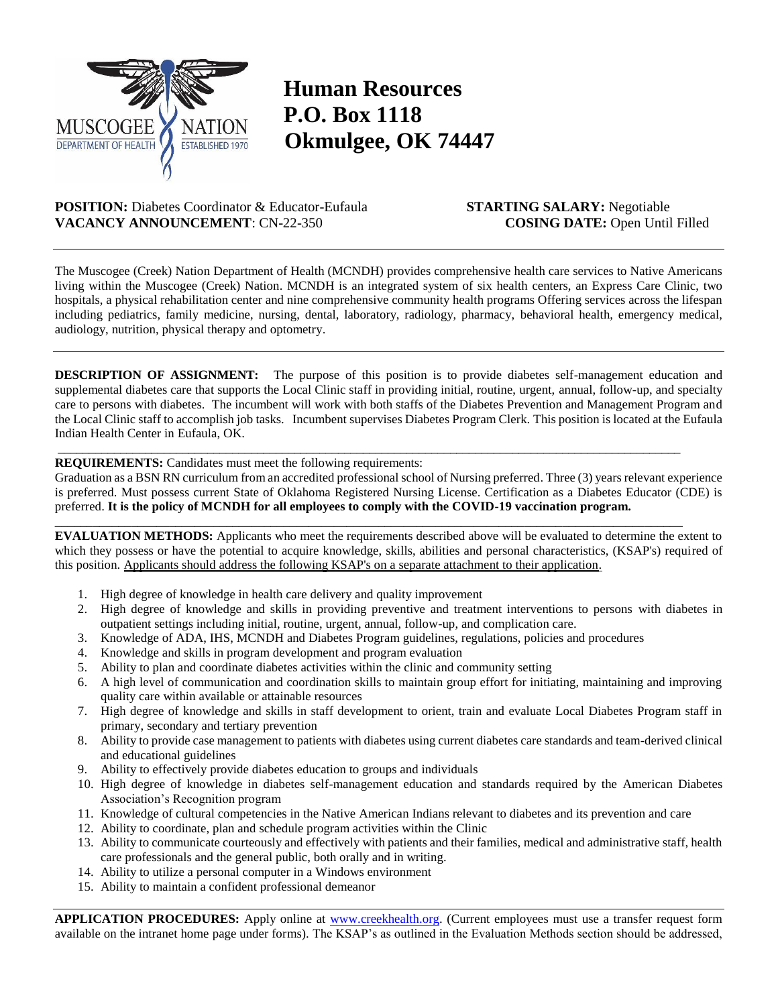

## **Human Resources P.O. Box 1118 Okmulgee, OK 74447**

**POSITION:** Diabetes Coordinator & Educator-Eufaula **STARTING SALARY:** Negotiable **VACANCY ANNOUNCEMENT**: CN-22-350 **COSING DATE:** Open Until Filled

The Muscogee (Creek) Nation Department of Health (MCNDH) provides comprehensive health care services to Native Americans living within the Muscogee (Creek) Nation. MCNDH is an integrated system of six health centers, an Express Care Clinic, two hospitals, a physical rehabilitation center and nine comprehensive community health programs Offering services across the lifespan including pediatrics, family medicine, nursing, dental, laboratory, radiology, pharmacy, behavioral health, emergency medical, audiology, nutrition, physical therapy and optometry.

**DESCRIPTION OF ASSIGNMENT:** The purpose of this position is to provide diabetes self-management education and supplemental diabetes care that supports the Local Clinic staff in providing initial, routine, urgent, annual, follow-up, and specialty care to persons with diabetes. The incumbent will work with both staffs of the Diabetes Prevention and Management Program and the Local Clinic staff to accomplish job tasks. Incumbent supervises Diabetes Program Clerk. This position is located at the Eufaula Indian Health Center in Eufaula, OK.

## **REQUIREMENTS:** Candidates must meet the following requirements:

Graduation as a BSN RN curriculum from an accredited professional school of Nursing preferred. Three (3) years relevant experience is preferred. Must possess current State of Oklahoma Registered Nursing License. Certification as a Diabetes Educator (CDE) is preferred. **It is the policy of MCNDH for all employees to comply with the COVID-19 vaccination program.**

 $\_$  , and the set of the set of the set of the set of the set of the set of the set of the set of the set of the set of the set of the set of the set of the set of the set of the set of the set of the set of the set of th

**\_\_\_\_\_\_\_\_\_\_\_\_\_\_\_\_\_\_\_\_\_\_\_\_\_\_\_\_\_\_\_\_\_\_\_\_\_\_\_\_\_\_\_\_\_\_\_\_\_\_\_\_\_\_\_\_\_\_\_\_\_\_\_\_\_\_\_\_\_\_\_\_\_\_\_\_\_\_\_\_\_\_\_\_\_\_\_\_\_\_\_\_\_\_\_\_\_\_\_ EVALUATION METHODS:** Applicants who meet the requirements described above will be evaluated to determine the extent to which they possess or have the potential to acquire knowledge, skills, abilities and personal characteristics, (KSAP's) required of this position. Applicants should address the following KSAP's on a separate attachment to their application.

- 1. High degree of knowledge in health care delivery and quality improvement
- 2. High degree of knowledge and skills in providing preventive and treatment interventions to persons with diabetes in outpatient settings including initial, routine, urgent, annual, follow-up, and complication care.
- 3. Knowledge of ADA, IHS, MCNDH and Diabetes Program guidelines, regulations, policies and procedures
- 4. Knowledge and skills in program development and program evaluation
- 5. Ability to plan and coordinate diabetes activities within the clinic and community setting
- 6. A high level of communication and coordination skills to maintain group effort for initiating, maintaining and improving quality care within available or attainable resources
- 7. High degree of knowledge and skills in staff development to orient, train and evaluate Local Diabetes Program staff in primary, secondary and tertiary prevention
- 8. Ability to provide case management to patients with diabetes using current diabetes care standards and team-derived clinical and educational guidelines
- 9. Ability to effectively provide diabetes education to groups and individuals
- 10. High degree of knowledge in diabetes self-management education and standards required by the American Diabetes Association's Recognition program
- 11. Knowledge of cultural competencies in the Native American Indians relevant to diabetes and its prevention and care
- 12. Ability to coordinate, plan and schedule program activities within the Clinic
- 13. Ability to communicate courteously and effectively with patients and their families, medical and administrative staff, health care professionals and the general public, both orally and in writing.
- 14. Ability to utilize a personal computer in a Windows environment
- 15. Ability to maintain a confident professional demeanor

**APPLICATION PROCEDURES:** Apply online at [www.creekhealth.org.](http://www.creekhealth.org/) (Current employees must use a transfer request form available on the intranet home page under forms). The KSAP's as outlined in the Evaluation Methods section should be addressed,